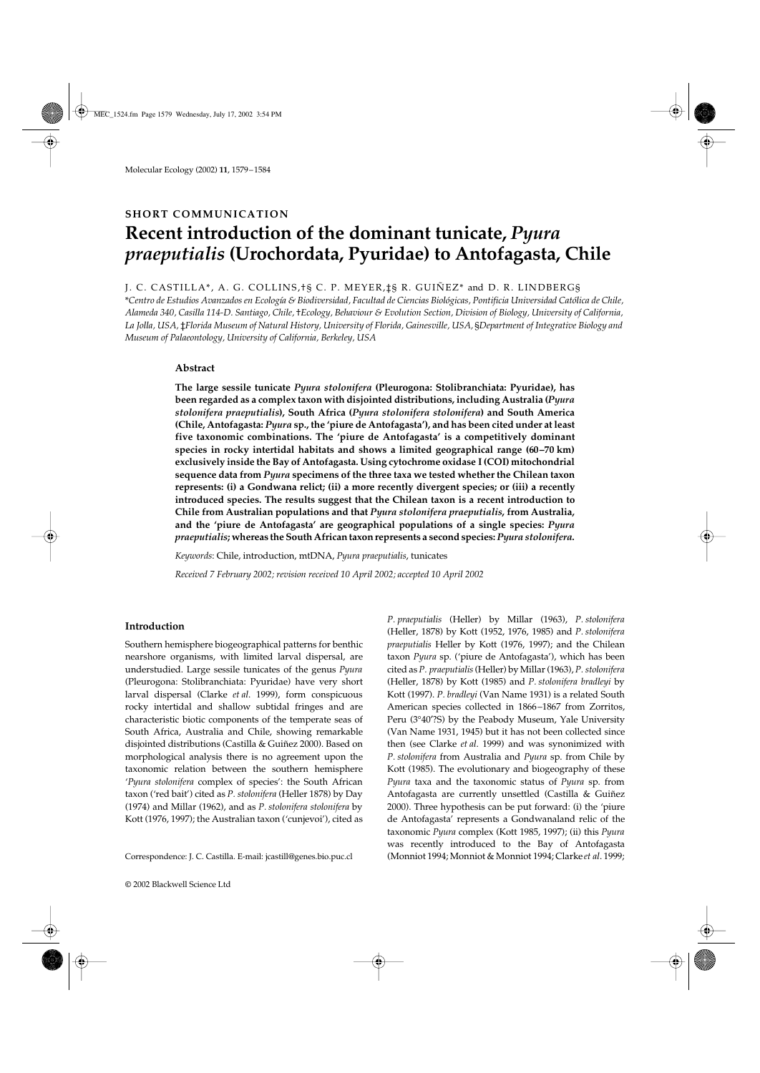# **SHORT COMMUNICATION Recent introduction of the dominant tunicate,** *Pyura praeputialis* **(Urochordata, Pyuridae) to Antofagasta, Chile**

## J. C. CASTILLA\*, A. G. COLLINS,†§ C. P. MEYER,‡§ R. GUIÑEZ\* and D. R. LINDBERG§

\**Centro de Estudios Avanzados en Ecología & Biodiversidad, Facultad de Ciencias Biológicas, Pontificia Universidad Católica de Chile, Alameda 340, Casilla 114-D. Santiago, Chile,* †*Ecology, Behaviour & Evolution Section, Division of Biology, University of California, La Jolla, USA,* ‡*Florida Museum of Natural History, University of Florida, Gainesville, USA,* §*Department of Integrative Biology and Museum of Palaeontology, University of California, Berkeley, USA* 

### **Abstract**

**The large sessile tunicate** *Pyura stolonifera* **(Pleurogona: Stolibranchiata: Pyuridae), has been regarded as a complex taxon with disjointed distributions, including Australia (***Pyura stolonifera praeputialis***), South Africa (***Pyura stolonifera stolonifera***) and South America (Chile, Antofagasta:** *Pyura* **sp., the 'piure de Antofagasta'), and has been cited under at least five taxonomic combinations. The 'piure de Antofagasta' is a competitively dominant species in rocky intertidal habitats and shows a limited geographical range (60–70 km) exclusively inside the Bay of Antofagasta. Using cytochrome oxidase I (COI) mitochondrial sequence data from** *Pyura* **specimens of the three taxa we tested whether the Chilean taxon represents: (i) a Gondwana relict; (ii) a more recently divergent species; or (iii) a recently introduced species. The results suggest that the Chilean taxon is a recent introduction to Chile from Australian populations and that** *Pyura stolonifera praeputialis***, from Australia, and the 'piure de Antofagasta' are geographical populations of a single species:** *Pyura praeputialis***; whereas the South African taxon represents a second species:** *Pyura stolonifera***.**

*Keywords*: Chile, introduction, mtDNA, *Pyura praeputialis*, tunicates *Received 7 February 2002; revision received 10 April 2002; accepted 10 April 2002*

## **Introduction**

Southern hemisphere biogeographical patterns for benthic nearshore organisms, with limited larval dispersal, are understudied. Large sessile tunicates of the genus *Pyura* (Pleurogona: Stolibranchiata: Pyuridae) have very short larval dispersal (Clarke *et al*. 1999), form conspicuous rocky intertidal and shallow subtidal fringes and are characteristic biotic components of the temperate seas of South Africa, Australia and Chile, showing remarkable disjointed distributions (Castilla & Guiñez 2000). Based on morphological analysis there is no agreement upon the taxonomic relation between the southern hemisphere '*Pyura stolonifera* complex of species': the South African taxon ('red bait') cited as *P. stolonifera* (Heller 1878) by Day (1974) and Millar (1962), and as *P. stolonifera stolonifera* by Kott (1976, 1997); the Australian taxon ('cunjevoi'), cited as

*P. praeputialis* (Heller) by Millar (1963), *P. stolonifera* (Heller, 1878) by Kott (1952, 1976, 1985) and *P. stolonifera praeputialis* Heller by Kott (1976, 1997); and the Chilean taxon *Pyura* sp. ('piure de Antofagasta'), which has been cited as *P. praeputialis* (Heller) by Millar (1963), *P. stolonifera* (Heller, 1878) by Kott (1985) and *P. stolonifera bradleyi* by Kott (1997). *P. bradleyi* (Van Name 1931) is a related South American species collected in 1866–1867 from Zorritos, Peru (3°40′?S) by the Peabody Museum, Yale University (Van Name 1931, 1945) but it has not been collected since then (see Clarke *et al*. 1999) and was synonimized with *P. stolonifera* from Australia and *Pyura* sp. from Chile by Kott (1985). The evolutionary and biogeography of these *Pyura* taxa and the taxonomic status of *Pyura* sp. from Antofagasta are currently unsettled (Castilla & Guiñez 2000). Three hypothesis can be put forward: (i) the 'piure de Antofagasta' represents a Gondwanaland relic of the taxonomic *Pyura* complex (Kott 1985, 1997); (ii) this *Pyura* was recently introduced to the Bay of Antofagasta Correspondence: J. C. Castilla. E-mail: jcastill@genes.bio.puc.cl (Monniot 1994; Monniot & Monniot 1994; Clarke *et al*. 1999;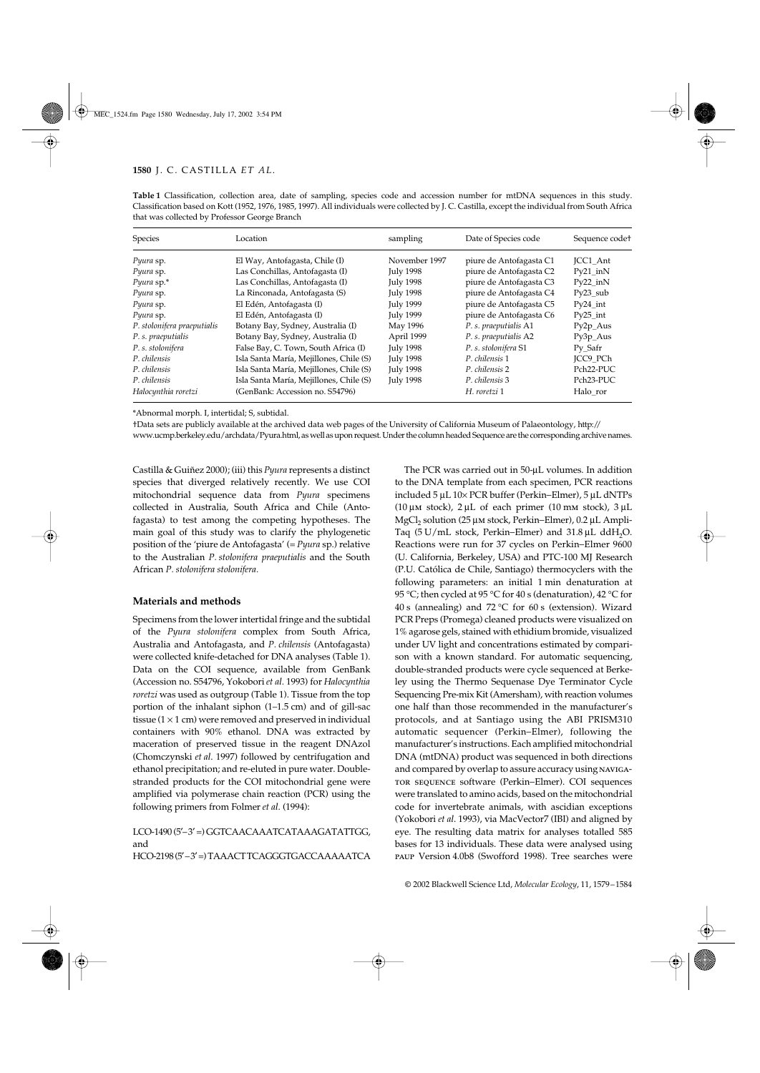| Species                     | Location                                | sampling         | Date of Species code    | Sequence code <sup>+</sup> |
|-----------------------------|-----------------------------------------|------------------|-------------------------|----------------------------|
| Pyura sp.                   | El Way, Antofagasta, Chile (I)          | November 1997    | piure de Antofagasta C1 | JCC1 Ant                   |
| Pyura sp.                   | Las Conchillas, Antofagasta (I)         | <b>July 1998</b> | piure de Antofagasta C2 | $Py21$ in N                |
| $P$ <i>yura</i> sp. $*$     | Las Conchillas, Antofagasta (I)         | <b>July 1998</b> | piure de Antofagasta C3 | $Py22$ in $N$              |
| Pyura sp.                   | La Rinconada, Antofagasta (S)           | <b>July 1998</b> | piure de Antofagasta C4 | $Py23$ sub                 |
| Pyura sp.                   | El Edén, Antofagasta (I)                | July 1999        | piure de Antofagasta C5 | $Py24$ int                 |
| Pyura sp.                   | El Edén, Antofagasta (I)                | July 1999        | piure de Antofagasta C6 | $Py25$ _int                |
| P. stolonifera praeputialis | Botany Bay, Sydney, Australia (I)       | May 1996         | P. s. praeputialis A1   | $Py2p\_Aus$                |
| P. s. praeputialis          | Botany Bay, Sydney, Australia (I)       | April 1999       | P. s. praeputialis A2   | $Py3p\_Aus$                |
| P. s. stolonifera           | False Bay, C. Town, South Africa (I)    | <b>July 1998</b> | P. s. stolonifera S1    | Py Safr                    |
| P. chilensis                | Isla Santa María, Mejillones, Chile (S) | <b>July 1998</b> | P. chilensis 1          | ICC9 PCh                   |
| P. chilensis                | Isla Santa María, Mejillones, Chile (S) | <b>July 1998</b> | P. chilensis 2          | Pch <sub>22</sub> -PUC     |
| P. chilensis                | Isla Santa María, Mejillones, Chile (S) | <b>July 1998</b> | P. chilensis 3          | Pch <sub>23</sub> -PUC     |
| Halocynthia roretzi         | (GenBank: Accession no. S54796)         |                  | H. roretzi 1            | Halo ror                   |

**Table 1** Classification, collection area, date of sampling, species code and accession number for mtDNA sequences in this study. Classification based on Kott (1952, 1976, 1985, 1997). All individuals were collected by J. C. Castilla, except the individual from South Africa that was collected by Professor George Branch

\*Abnormal morph. I, intertidal; S, subtidal.

†Data sets are publicly available at the archived data web pages of the University of California Museum of Palaeontology, http://

www.ucmp.berkeley.edu/archdata/Pyura.html, as well as upon request. Under the column headed Sequence are the corresponding archive names.

Castilla & Guiñez 2000); (iii) this *Pyura* represents a distinct species that diverged relatively recently. We use COI mitochondrial sequence data from *Pyura* specimens collected in Australia, South Africa and Chile (Antofagasta) to test among the competing hypotheses. The main goal of this study was to clarify the phylogenetic position of the 'piure de Antofagasta' (= *Pyura* sp.) relative to the Australian *P. stolonifera praeputialis* and the South African *P. stolonifera stolonifera.*

#### **Materials and methods**

Specimens from the lower intertidal fringe and the subtidal of the *Pyura stolonifera* complex from South Africa, Australia and Antofagasta, and *P. chilensis* (Antofagasta) were collected knife-detached for DNA analyses (Table 1). Data on the COI sequence, available from GenBank (Accession no. S54796, Yokobori *et al.* 1993) for *Halocynthia roretzi* was used as outgroup (Table 1). Tissue from the top portion of the inhalant siphon (1–1.5 cm) and of gill-sac tissue  $(1 \times 1$  cm) were removed and preserved in individual containers with 90% ethanol. DNA was extracted by maceration of preserved tissue in the reagent DNAzol (Chomczynski *et al*. 1997) followed by centrifugation and ethanol precipitation; and re-eluted in pure water. Doublestranded products for the COI mitochondrial gene were amplified via polymerase chain reaction (PCR) using the following primers from Folmer *et al*. (1994):

LCO-1490 (5′–3′ =) GGTCAACAAATCATAAAGATATTGG, and HCO-2198 (5′–3′ =) TAAACTTCAGGGTGACCAAAAATCA

The PCR was carried out in 50-µL volumes. In addition to the DNA template from each specimen, PCR reactions included 5 µL 10× PCR buffer (Perkin−Elmer), 5 µL dNTPs (10  $\mu$ m stock), 2  $\mu$ L of each primer (10 mm stock), 3  $\mu$ L MgCl<sub>2</sub> solution (25 µm stock, Perkin–Elmer), 0.2 µL Ampli-Taq  $(5 U/mL$  stock, Perkin–Elmer) and  $31.8 \mu L$  ddH<sub>2</sub>O. Reactions were run for 37 cycles on Perkin−Elmer 9600 (U. California, Berkeley, USA) and PTC-100 MJ Research (P.U. Católica de Chile, Santiago) thermocyclers with the following parameters: an initial 1 min denaturation at 95 °C; then cycled at 95 °C for 40 s (denaturation), 42 °C for 40 s (annealing) and 72 °C for 60 s (extension). Wizard PCR Preps (Promega) cleaned products were visualized on 1% agarose gels, stained with ethidium bromide, visualized under UV light and concentrations estimated by comparison with a known standard. For automatic sequencing, double-stranded products were cycle sequenced at Berkeley using the Thermo Sequenase Dye Terminator Cycle Sequencing Pre-mix Kit (Amersham), with reaction volumes one half than those recommended in the manufacturer's protocols, and at Santiago using the ABI PRISM310 automatic sequencer (Perkin−Elmer), following the manufacturer's instructions. Each amplified mitochondrial DNA (mtDNA) product was sequenced in both directions and compared by overlap to assure accuracy using navigator sequence software (Perkin−Elmer). COI sequences were translated to amino acids, based on the mitochondrial code for invertebrate animals, with ascidian exceptions (Yokobori *et al*. 1993), via MacVector7 (IBI) and aligned by eye. The resulting data matrix for analyses totalled 585 bases for 13 individuals. These data were analysed using paup Version 4.0b8 (Swofford 1998). Tree searches were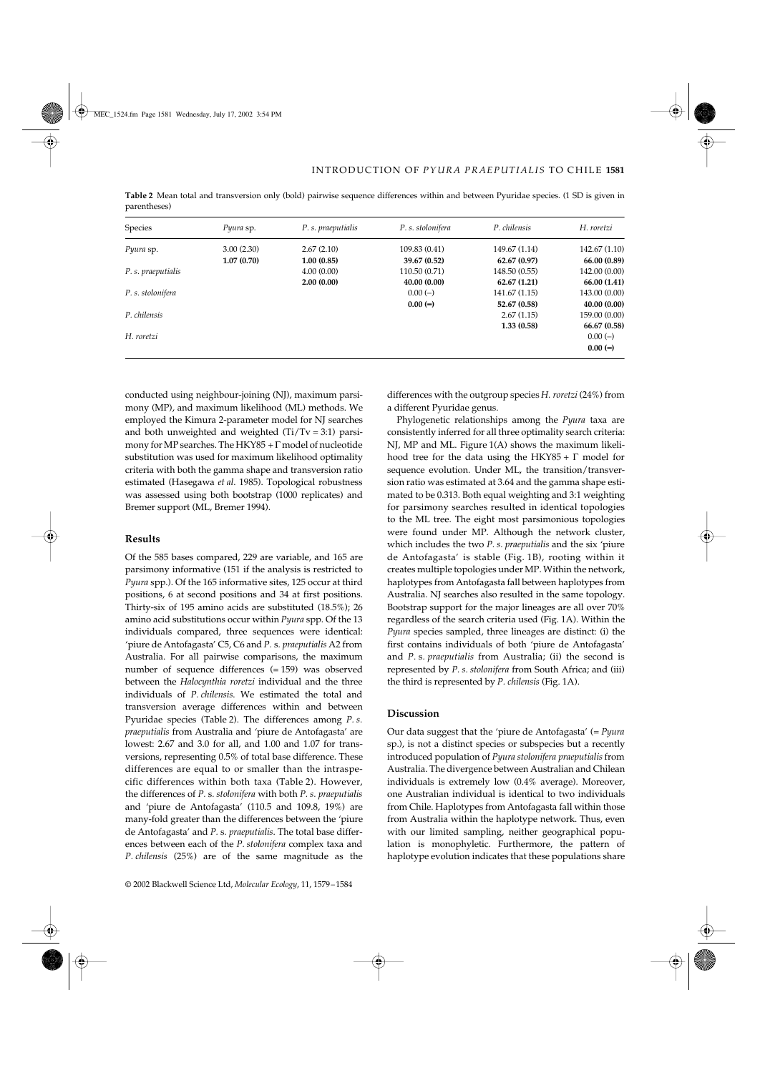| Species            | Pyura sp.  | P. s. praeputialis | P. s. stolonifera | P. chilensis  | H. roretzi    |
|--------------------|------------|--------------------|-------------------|---------------|---------------|
| Pyura sp.          | 3.00(2.30) | 2.67(2.10)         | 109.83 (0.41)     | 149.67 (1.14) | 142.67 (1.10) |
|                    | 1.07(0.70) | 1.00(0.85)         | 39.67 (0.52)      | 62.67(0.97)   | 66.00 (0.89)  |
| P. s. praeputialis |            | 4.00(0.00)         | 110.50 (0.71)     | 148.50 (0.55) | 142.00 (0.00) |
|                    |            | 2.00(0.00)         | 40.00 (0.00)      | 62.67(1.21)   | 66.00 (1.41)  |
| P. s. stolonifera  |            |                    | $0.00(-)$         | 141.67 (1.15) | 143.00 (0.00) |
|                    |            |                    | $0.00(-)$         | 52.67 (0.58)  | 40.00(0.00)   |
| P. chilensis       |            |                    |                   | 2.67(1.15)    | 159.00 (0.00) |
|                    |            |                    |                   | 1.33(0.58)    | 66.67 (0.58)  |
| H. roretzi         |            |                    |                   |               | $0.00(-)$     |
|                    |            |                    |                   |               | $0.00 (-)$    |

**Table 2** Mean total and transversion only (bold) pairwise sequence differences within and between Pyuridae species. (1 SD is given in parentheses)

conducted using neighbour-joining (NJ), maximum parsimony (MP), and maximum likelihood (ML) methods. We employed the Kimura 2-parameter model for NJ searches and both unweighted and weighted  $(Ti/Tv = 3:1)$  parsimony for MP searches. The HKY85 + Γ model of nucleotide substitution was used for maximum likelihood optimality criteria with both the gamma shape and transversion ratio estimated (Hasegawa *et al*. 1985). Topological robustness was assessed using both bootstrap (1000 replicates) and Bremer support (ML, Bremer 1994).

#### **Results**

Of the 585 bases compared, 229 are variable, and 165 are parsimony informative (151 if the analysis is restricted to *Pyura* spp.). Of the 165 informative sites, 125 occur at third positions, 6 at second positions and 34 at first positions. Thirty-six of 195 amino acids are substituted (18.5%); 26 amino acid substitutions occur within *Pyura* spp. Of the 13 individuals compared, three sequences were identical: 'piure de Antofagasta' C5, C6 and *P.* s*. praeputialis* A2 from Australia. For all pairwise comparisons, the maximum number of sequence differences (= 159) was observed between the *Halocynthia roretzi* individual and the three individuals of *P. chilensis*. We estimated the total and transversion average differences within and between Pyuridae species (Table 2). The differences among *P. s. praeputialis* from Australia and 'piure de Antofagasta' are lowest: 2.67 and 3.0 for all, and 1.00 and 1.07 for transversions, representing 0.5% of total base difference. These differences are equal to or smaller than the intraspecific differences within both taxa (Table 2). However, the differences of *P.* s*. stolonifera* with both *P. s. praeputialis* and 'piure de Antofagasta' (110.5 and 109.8, 19%) are many-fold greater than the differences between the 'piure de Antofagasta' and *P.* s*. praeputialis*. The total base differences between each of the *P. stolonifera* complex taxa and *P. chilensis* (25%) are of the same magnitude as the

differences with the outgroup species *H. roretzi* (24%) from a different Pyuridae genus.

Phylogenetic relationships among the *Pyura* taxa are consistently inferred for all three optimality search criteria: NJ, MP and ML. Figure 1(A) shows the maximum likelihood tree for the data using the HKY85 +  $\Gamma$  model for sequence evolution. Under ML, the transition/transversion ratio was estimated at 3.64 and the gamma shape estimated to be 0.313. Both equal weighting and 3:1 weighting for parsimony searches resulted in identical topologies to the ML tree. The eight most parsimonious topologies were found under MP. Although the network cluster, which includes the two *P. s. praeputialis* and the six 'piure de Antofagasta' is stable (Fig. 1B), rooting within it creates multiple topologies under MP. Within the network, haplotypes from Antofagasta fall between haplotypes from Australia. NJ searches also resulted in the same topology. Bootstrap support for the major lineages are all over 70% regardless of the search criteria used (Fig. 1A). Within the *Pyura* species sampled, three lineages are distinct: (i) the first contains individuals of both 'piure de Antofagasta' and *P.* s*. praeputialis* from Australia; (ii) the second is represented by *P. s. stolonifera* from South Africa; and (iii) the third is represented by *P. chilensis* (Fig. 1A).

#### **Discussion**

Our data suggest that the 'piure de Antofagasta' (= *Pyura* sp.), is not a distinct species or subspecies but a recently introduced population of *Pyura stolonifera praeputialis* from Australia. The divergence between Australian and Chilean individuals is extremely low (0.4% average). Moreover, one Australian individual is identical to two individuals from Chile. Haplotypes from Antofagasta fall within those from Australia within the haplotype network. Thus, even with our limited sampling, neither geographical population is monophyletic. Furthermore, the pattern of haplotype evolution indicates that these populations share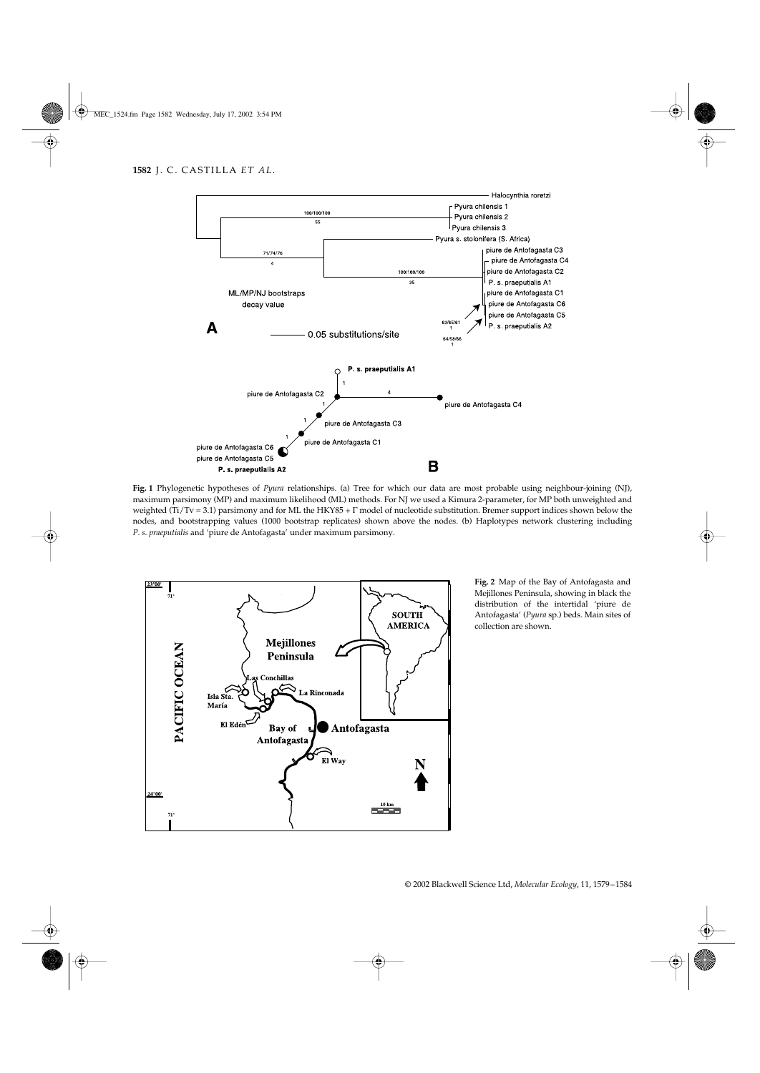

**Fig. 1** Phylogenetic hypotheses of *Pyura* relationships. (a) Tree for which our data are most probable using neighbour-joining (NJ), maximum parsimony (MP) and maximum likelihood (ML) methods. For NJ we used a Kimura 2-parameter, for MP both unweighted and weighted (Ti/Tv = 3.1) parsimony and for ML the HKY85 + Γ model of nucleotide substitution. Bremer support indices shown below the nodes, and bootstrapping values (1000 bootstrap replicates) shown above the nodes. (b) Haplotypes network clustering including *P. s. praeputialis* and 'piure de Antofagasta' under maximum parsimony.



**Fig. 2** Map of the Bay of Antofagasta and Mejillones Peninsula, showing in black the distribution of the intertidal 'piure de Antofagasta' (*Pyura* sp.) beds. Main sites of collection are shown.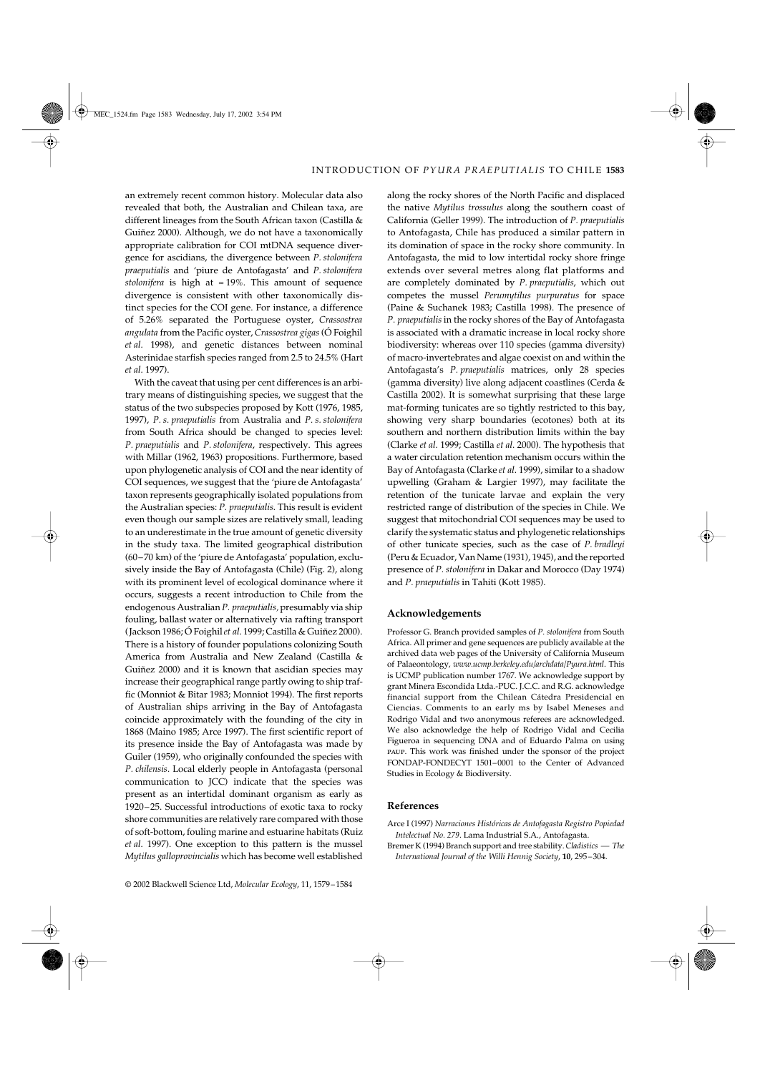an extremely recent common history. Molecular data also revealed that both, the Australian and Chilean taxa, are different lineages from the South African taxon (Castilla & Guiñez 2000). Although, we do not have a taxonomically appropriate calibration for COI mtDNA sequence divergence for ascidians, the divergence between *P. stolonifera praeputialis* and 'piure de Antofagasta' and *P. stolonifera stolonifera* is high at  $\approx$  19%. This amount of sequence divergence is consistent with other taxonomically distinct species for the COI gene. For instance, a difference of 5.26% separated the Portuguese oyster, *Crassostrea angulata* from the Pacific oyster, *Crassostrea gigas* (Ó Foighil *et al*. 1998), and genetic distances between nominal Asterinidae starfish species ranged from 2.5 to 24.5% (Hart *et al*. 1997).

With the caveat that using per cent differences is an arbitrary means of distinguishing species, we suggest that the status of the two subspecies proposed by Kott (1976, 1985, 1997), *P. s. praeputialis* from Australia and *P. s. stolonifera* from South Africa should be changed to species level: *P. praeputialis* and *P. stolonifera*, respectively. This agrees with Millar (1962, 1963) propositions. Furthermore, based upon phylogenetic analysis of COI and the near identity of COI sequences, we suggest that the 'piure de Antofagasta' taxon represents geographically isolated populations from the Australian species: *P. praeputialis*. This result is evident even though our sample sizes are relatively small, leading to an underestimate in the true amount of genetic diversity in the study taxa. The limited geographical distribution (60–70 km) of the 'piure de Antofagasta' population, exclusively inside the Bay of Antofagasta (Chile) (Fig. 2), along with its prominent level of ecological dominance where it occurs, suggests a recent introduction to Chile from the endogenous Australian *P. praeputialis,* presumably via ship fouling, ballast water or alternatively via rafting transport (Jackson 1986; Ó Foighil *et al*. 1999; Castilla & Guiñez 2000). There is a history of founder populations colonizing South America from Australia and New Zealand (Castilla & Guiñez 2000) and it is known that ascidian species may increase their geographical range partly owing to ship traffic (Monniot & Bitar 1983; Monniot 1994). The first reports of Australian ships arriving in the Bay of Antofagasta coincide approximately with the founding of the city in 1868 (Maino 1985; Arce 1997). The first scientific report of its presence inside the Bay of Antofagasta was made by Guiler (1959), who originally confounded the species with *P. chilensis.* Local elderly people in Antofagasta (personal communication to JCC) indicate that the species was present as an intertidal dominant organism as early as 1920–25. Successful introductions of exotic taxa to rocky shore communities are relatively rare compared with those of soft-bottom, fouling marine and estuarine habitats (Ruiz *et al*. 1997). One exception to this pattern is the mussel *Mytilus galloprovincialis* which has become well established along the rocky shores of the North Pacific and displaced the native *Mytilus trossulus* along the southern coast of California (Geller 1999). The introduction of *P. praeputialis* to Antofagasta, Chile has produced a similar pattern in its domination of space in the rocky shore community. In Antofagasta, the mid to low intertidal rocky shore fringe extends over several metres along flat platforms and are completely dominated by *P. praeputialis*, which out competes the mussel *Perumytilus purpuratus* for space (Paine & Suchanek 1983; Castilla 1998). The presence of *P. praeputialis* in the rocky shores of the Bay of Antofagasta is associated with a dramatic increase in local rocky shore biodiversity: whereas over 110 species (gamma diversity) of macro-invertebrates and algae coexist on and within the Antofagasta's *P. praeputialis* matrices, only 28 species (gamma diversity) live along adjacent coastlines (Cerda & Castilla 2002). It is somewhat surprising that these large mat-forming tunicates are so tightly restricted to this bay, showing very sharp boundaries (ecotones) both at its southern and northern distribution limits within the bay (Clarke *et al*. 1999; Castilla *et al*. 2000). The hypothesis that a water circulation retention mechanism occurs within the Bay of Antofagasta (Clarke *et al*. 1999), similar to a shadow upwelling (Graham & Largier 1997), may facilitate the retention of the tunicate larvae and explain the very restricted range of distribution of the species in Chile. We suggest that mitochondrial COI sequences may be used to clarify the systematic status and phylogenetic relationships of other tunicate species, such as the case of *P. bradleyi* (Peru & Ecuador, Van Name (1931), 1945), and the reported presence of *P. stolonifera* in Dakar and Morocco (Day 1974) and *P. praeputialis* in Tahiti (Kott 1985).

#### **Acknowledgements**

Professor G. Branch provided samples of *P. stolonifera* from South Africa. All primer and gene sequences are publicly available at the archived data web pages of the University of California Museum of Palaeontology, *www.ucmp.berkeley.edu/archdata/Pyura.html*. This is UCMP publication number 1767. We acknowledge support by grant Minera Escondida Ltda.-PUC. J.C.C. and R.G. acknowledge financial support from the Chilean Cátedra Presidencial en Ciencias. Comments to an early ms by Isabel Meneses and Rodrigo Vidal and two anonymous referees are acknowledged. We also acknowledge the help of Rodrigo Vidal and Cecilia Figueroa in sequencing DNA and of Eduardo Palma on using paup. This work was finished under the sponsor of the project FONDAP-FONDECYT 1501–0001 to the Center of Advanced Studies in Ecology & Biodiversity.

#### **References**

- Arce I (1997) *Narraciones Históricas de Antofagasta Registro Popiedad Intelectual No. 279*. Lama Industrial S.A., Antofagasta.
- Bremer K (1994) Branch support and tree stability. *Cladistics — The International Journal of the Willi Hennig Society*, **10**, 295–304.